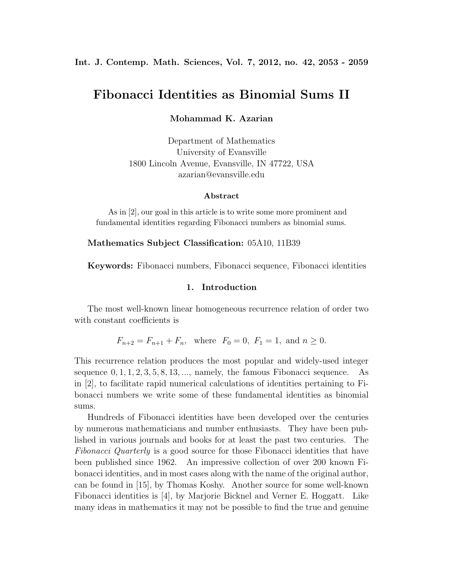#### **Int. J. Contemp. Math. Sciences, Vol. 7, 2012, no. 42, 2053 - 2059**

# **Fibonacci Identities as Binomial Sums II**

**Mohammad K. Azarian**

Department of Mathematics University of Evansville 1800 Lincoln Avenue, Evansville, IN 47722, USA azarian@evansville.edu

#### **Abstract**

As in [2], our goal in this article is to write some more prominent and fundamental identities regarding Fibonacci numbers as binomial sums.

#### **Mathematics Subject Classification:** 05A10, 11B39

**Keywords:** Fibonacci numbers, Fibonacci sequence, Fibonacci identities

#### **1. Introduction**

The most well-known linear homogeneous recurrence relation of order two with constant coefficients is

 $F_{n+2} = F_{n+1} + F_n$ , where  $F_0 = 0$ ,  $F_1 = 1$ , and  $n \ge 0$ .

This recurrence relation produces the most popular and widely-used integer sequence 0*,* 1*,* 1*,* 2*,* 3*,* 5*,* 8*,* 13*, ...*, namely, the famous Fibonacci sequence. As in [2], to facilitate rapid numerical calculations of identities pertaining to Fibonacci numbers we write some of these fundamental identities as binomial sums.

Hundreds of Fibonacci identities have been developed over the centuries by numerous mathematicians and number enthusiasts. They have been published in various journals and books for at least the past two centuries. The *Fibonacci Quarterly* is a good source for those Fibonacci identities that have been published since 1962. An impressive collection of over 200 known Fibonacci identities, and in most cases along with the name of the original author, can be found in [15], by Thomas Koshy. Another source for some well-known Fibonacci identities is [4], by Marjorie Bicknel and Verner E. Hoggatt. Like many ideas in mathematics it may not be possible to find the true and genuine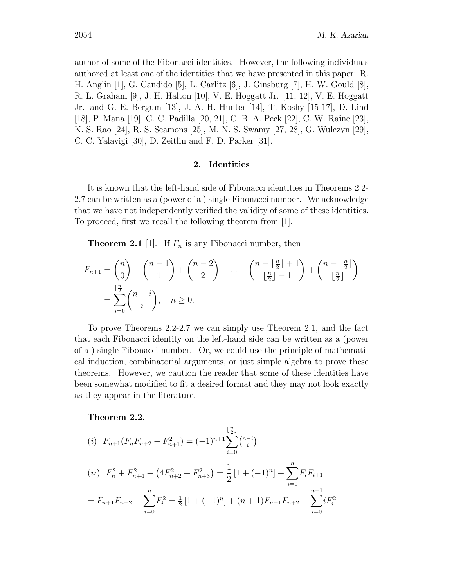author of some of the Fibonacci identities. However, the following individuals authored at least one of the identities that we have presented in this paper: R. H. Anglin [1], G. Candido [5], L. Carlitz [6], J. Ginsburg [7], H. W. Gould [8], R. L. Graham [9], J. H. Halton [10], V. E. Hoggatt Jr. [11, 12], V. E. Hoggatt Jr. and G. E. Bergum [13], J. A. H. Hunter [14], T. Koshy [15-17], D. Lind [18], P. Mana [19], G. C. Padilla [20, 21], C. B. A. Peck [22], C. W. Raine [23], K. S. Rao [24], R. S. Seamons [25], M. N. S. Swamy [27, 28], G. Wulczyn [29], C. C. Yalavigi [30], D. Zeitlin and F. D. Parker [31].

## **2. Identities**

It is known that the left-hand side of Fibonacci identities in Theorems 2.2- 2.7 can be written as a (power of a ) single Fibonacci number. We acknowledge that we have not independently verified the validity of some of these identities. To proceed, first we recall the following theorem from [1].

**Theorem 2.1** [1]. If  $F_n$  is any Fibonacci number, then

$$
F_{n+1} = \binom{n}{0} + \binom{n-1}{1} + \binom{n-2}{2} + \dots + \binom{n - \lfloor \frac{n}{2} \rfloor + 1}{\lfloor \frac{n}{2} \rfloor - 1} + \binom{n - \lfloor \frac{n}{2} \rfloor}{\lfloor \frac{n}{2} \rfloor}
$$
  
= 
$$
\sum_{i=0}^{\lfloor \frac{n}{2} \rfloor} \binom{n-i}{i}, \quad n \ge 0.
$$

To prove Theorems 2.2-2.7 we can simply use Theorem 2.1, and the fact that each Fibonacci identity on the left-hand side can be written as a (power of a ) single Fibonacci number. Or, we could use the principle of mathematical induction, combinatorial arguments, or just simple algebra to prove these theorems. However, we caution the reader that some of these identities have been somewhat modified to fit a desired format and they may not look exactly as they appear in the literature.

# **Theorem 2.2.**

(i) 
$$
F_{n+1}(F_n F_{n+2} - F_{n+1}^2) = (-1)^{n+1} \sum_{i=0}^{\lfloor \frac{n}{2} \rfloor} {n-i \choose i}
$$
  
\n(ii)  $F_n^2 + F_{n+4}^2 - (4F_{n+2}^2 + F_{n+3}^2) = \frac{1}{2} [1 + (-1)^n] + \sum_{i=0}^n F_i F_{i+1}$   
\n $= F_{n+1} F_{n+2} - \sum_{i=0}^n F_i^2 = \frac{1}{2} [1 + (-1)^n] + (n+1) F_{n+1} F_{n+2} - \sum_{i=0}^{n+1} i F_i^2$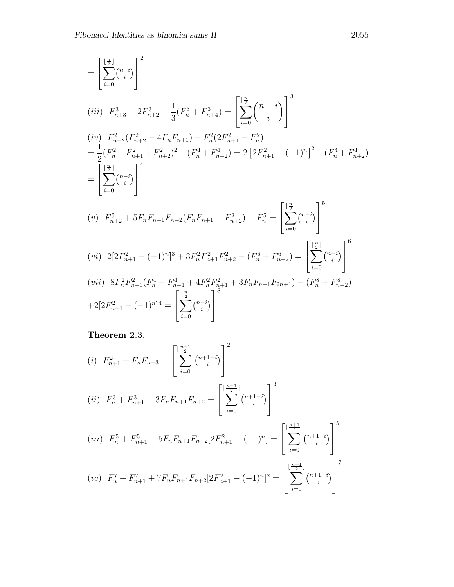$$
= \left[\sum_{i=0}^{\lfloor \frac{n}{2} \rfloor} {n-i \choose i} \right]^2
$$
\n
$$
(iii) \ F_{n+3}^3 + 2F_{n+2}^3 - \frac{1}{3}(F_n^3 + F_{n+4}^3) = \left[\sum_{i=0}^{\lfloor \frac{n}{2} \rfloor} {n-i \choose i} \right]^3
$$
\n
$$
(iv) \ F_{n+2}^2 (F_{n+2}^2 - 4F_n F_{n+1}) + F_n^2 (2F_{n+1}^2 - F_n^2)
$$
\n
$$
= \frac{1}{2} (F_n^2 + F_{n+1}^2 + F_{n+2}^2)^2 - (F_n^4 + F_{n+2}^4) = 2 \left[ 2F_{n+1}^2 - (-1)^n \right]^2 - (F_n^4 + F_{n+2}^4)
$$
\n
$$
= \left[\sum_{i=0}^{\lfloor \frac{n}{2} \rfloor} {n-i \choose i} \right]^4
$$
\n
$$
(v) \ F_{n+2}^5 + 5F_n F_{n+1} F_{n+2} (F_n F_{n+1} - F_{n+2}^2) - F_n^5 = \left[\sum_{i=0}^{\lfloor \frac{n}{2} \rfloor} {n-i \choose i} \right]^5
$$
\n
$$
(vi) \ 2[2F_{n+1}^2 - (-1)^n]^3 + 3F_n^2 F_{n+1}^2 F_{n+2}^2 - (F_n^6 + F_{n+2}^6) = \left[\sum_{i=0}^{\lfloor \frac{n}{2} \rfloor} {n-i \choose i} \right]^6
$$
\n
$$
(vii) \ 8F_n^2 F_{n+1}^2 (F_n^4 + F_{n+1}^4 + 4F_n^2 F_{n+1}^2 + 3F_n F_{n+1} F_{2n+1}) - (F_n^8 + F_{n+2}^8)
$$
\n
$$
+ 2[2F_{n+1}^2 - (-1)^n]^4 = \left[\sum_{i=0}^{\lfloor \frac{n}{2} \rfloor} {n-i \choose i} \right]
$$

**Theorem 2.3.**

(i) 
$$
F_{n+1}^2 + F_n F_{n+3} = \left[ \sum_{i=0}^{\lfloor \frac{n+1}{2} \rfloor} {n+1-i \choose i} \right]^2
$$
  
\n(ii)  $F_n^3 + F_{n+1}^3 + 3F_n F_{n+1} F_{n+2} = \left[ \sum_{i=0}^{\lfloor \frac{n+1}{2} \rfloor} {n+1-i \choose i} \right]^3$   
\n(iii)  $F_n^5 + F_{n+1}^5 + 5F_n F_{n+1} F_{n+2} [2F_{n+1}^2 - (-1)^n] = \left[ \sum_{i=0}^{\lfloor \frac{n+1}{2} \rfloor} {n+1-i \choose i} \right]^5$   
\n(iv)  $F_n^7 + F_{n+1}^7 + 7F_n F_{n+1} F_{n+2} [2F_{n+1}^2 - (-1)^n]^2 = \left[ \sum_{i=0}^{\lfloor \frac{n+1}{2} \rfloor} {n+1-i \choose i} \right]^7$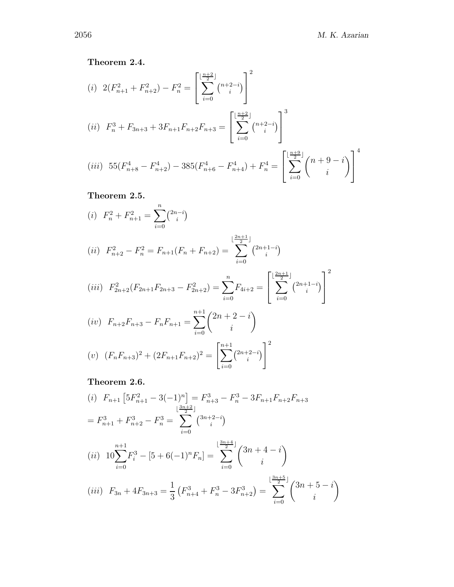# **Theorem 2.4.**

(i) 
$$
2(F_{n+1}^2 + F_{n+2}^2) - F_n^2 = \left[ \sum_{i=0}^{\lfloor \frac{n+2}{2} \rfloor} {n+2-i \choose i} \right]^2
$$
  
\n(ii)  $F_n^3 + F_{3n+3} + 3F_{n+1}F_{n+2}F_{n+3} = \left[ \sum_{i=0}^{\lfloor \frac{n+2}{2} \rfloor} {n+2-i \choose i} \right]^3$   
\n(iii)  $55(F_{n+8}^4 - F_{n+2}^4) - 385(F_{n+6}^4 - F_{n+4}^4) + F_n^4 = \left[ \sum_{i=0}^{\lfloor \frac{n+9}{2} \rfloor} {n+9-i \choose i} \right]^4$ 

**Theorem 2.5.**

$$
(i) \ \ F_n^2 + F_{n+1}^2 = \sum_{i=0}^n \binom{2n-i}{i}
$$

$$
(ii) \ \ F_{n+2}^2 - F_n^2 = F_{n+1}(F_n + F_{n+2}) = \sum_{i=0}^{\lfloor \frac{2n+1}{2} \rfloor} \binom{2n+1-i}{i}
$$

$$
(iii) \ \ F_{2n+2}^2(F_{2n+1}F_{2n+3} - F_{2n+2}^2) = \sum_{i=0}^n F_{4i+2} = \left[ \sum_{i=0}^{\lfloor \frac{2n+1}{2} \rfloor} {2n+1-i \choose i} \right]^2
$$

$$
(iv) \ \ F_{n+2}F_{n+3} - F_nF_{n+1} = \sum_{i=0}^{n+1} {2n+2-i \choose i}
$$

$$
(v) \ \ (F_nF_{n+3})^2 + (2F_{n+1}F_{n+2})^2 = \left[\sum_{i=0}^{n+1} {2n+2-i \choose i}\right]^2
$$

**Theorem 2.6.**

$$
(i) \ F_{n+1} \left[ 5F_{n+1}^2 - 3(-1)^n \right] = F_{n+3}^3 - F_n^3 - 3F_{n+1}F_{n+2}F_{n+3}
$$

$$
= F_{n+1}^3 + F_{n+2}^3 - F_n^3 = \sum_{i=0}^{\lfloor \frac{3n+2}{2} \rfloor} {3n+2-i \choose i}
$$

$$
(ii) \ 10\sum_{i=0}^{n+1} F_i^3 - [5+6(-1)^n F_n] = \sum_{i=0}^{\lfloor \frac{3n+4}{2} \rfloor} {3n+4-i \choose i}
$$

$$
(iii) \ F_{3n} + 4F_{3n+3} = \frac{1}{3} \left( F_{n+4}^3 + F_n^3 - 3F_{n+2}^3 \right) = \sum_{i=0}^{\lfloor \frac{3n+5}{2} \rfloor} {3n+5-i \choose i}
$$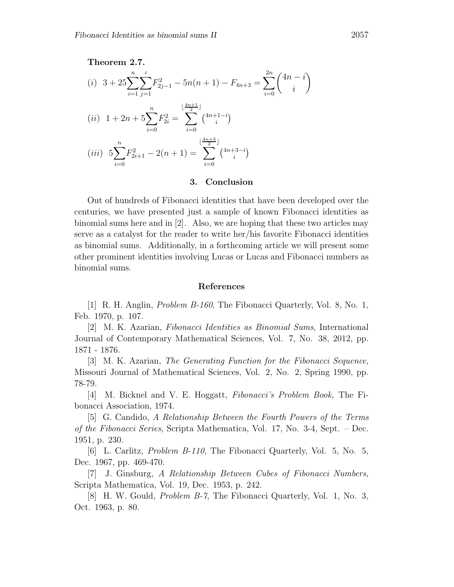**Theorem 2.7.**

(i) 
$$
3 + 25 \sum_{i=1}^{n} \sum_{j=1}^{i} F_{2j-1}^{2} - 5n(n+1) - F_{4n+3} = \sum_{i=0}^{2n} {4n-i \choose i}
$$
  
\n(ii)  $1 + 2n + 5 \sum_{i=0}^{n} F_{2i}^{2} = \sum_{i=0}^{\lfloor \frac{4n+1}{2} \rfloor} {4n+1-i \choose i}$   
\n(iii)  $5 \sum_{i=0}^{n} F_{2i+1}^{2} - 2(n+1) = \sum_{i=0}^{\lfloor \frac{4n+3}{2} \rfloor} {4n+3-i \choose i}$ 

#### **3. Conclusion**

Out of hundreds of Fibonacci identities that have been developed over the centuries, we have presented just a sample of known Fibonacci identities as binomial sums here and in [2]. Also, we are hoping that these two articles may serve as a catalyst for the reader to write her/his favorite Fibonacci identities as binomial sums. Additionally, in a forthcoming article we will present some other prominent identities involving Lucas or Lucas and Fibonacci numbers as binomial sums.

# **References**

[1] R. H. Anglin, *Problem B-160*, The Fibonacci Quarterly, Vol. 8, No. 1, Feb. 1970, p. 107.

[2] M. K. Azarian, *Fibonacci Identities as Binomial Sums*, International Journal of Contemporary Mathematical Sciences, Vol. 7, No. 38, 2012, pp. 1871 - 1876.

[3] M. K. Azarian, *The Generating Function for the Fibonacci Sequence*, Missouri Journal of Mathematical Sciences, Vol. 2, No. 2, Spring 1990, pp. 78-79.

[4] M. Bicknel and V. E. Hoggatt, *Fibonacci's Problem Book,* The Fibonacci Association, 1974.

[5] G. Candido, *A Relationship Between the Fourth Powers of the Terms of the Fibonacci Series*, Scripta Mathematica, Vol. 17, No. 3-4, Sept. – Dec. 1951, p. 230.

[6] L. Carlitz, *Problem B-110*, The Fibonacci Quarterly, Vol. 5, No. 5, Dec. 1967, pp. 469-470.

[7] J. Ginsburg, *A Relationship Between Cubes of Fibonacci Numbers*, Scripta Mathematica, Vol. 19, Dec. 1953, p. 242.

[8] H. W. Gould, *Problem B-7*, The Fibonacci Quarterly, Vol. 1, No. 3, Oct. 1963, p. 80.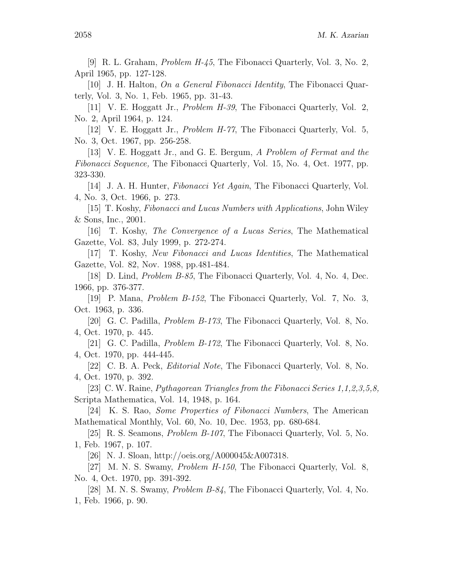[9] R. L. Graham, *Problem H-45*, The Fibonacci Quarterly, Vol. 3, No. 2, April 1965, pp. 127-128.

[10] J. H. Halton, *On a General Fibonacci Identity*, The Fibonacci Quarterly, Vol. 3, No. 1, Feb. 1965, pp. 31-43.

[11] V. E. Hoggatt Jr., *Problem H-39*, The Fibonacci Quarterly, Vol. 2, No. 2, April 1964, p. 124.

[12] V. E. Hoggatt Jr., *Problem H-77*, The Fibonacci Quarterly, Vol. 5, No. 3, Oct. 1967, pp. 256-258.

[13] V. E. Hoggatt Jr., and G. E. Bergum, *A Problem of Fermat and the Fibonacci Sequence,* The Fibonacci Quarterly*,* Vol. 15, No. 4, Oct. 1977, pp. 323-330.

[14] J. A. H. Hunter, *Fibonacci Yet Again*, The Fibonacci Quarterly, Vol. 4, No. 3, Oct. 1966, p. 273.

[15] T. Koshy, *Fibonacci and Lucas Numbers with Applications*, John Wiley & Sons, Inc., 2001.

[16] T. Koshy, *The Convergence of a Lucas Series*, The Mathematical Gazette, Vol. 83, July 1999, p. 272-274.

[17] T. Koshy, *New Fibonacci and Lucas Identities*, The Mathematical Gazette, Vol. 82, Nov. 1988, pp.481-484.

[18] D. Lind, *Problem B-85*, The Fibonacci Quarterly, Vol. 4, No. 4, Dec. 1966, pp. 376-377.

[19] P. Mana, *Problem B-152*, The Fibonacci Quarterly, Vol. 7, No. 3, Oct. 1963, p. 336.

[20] G. C. Padilla, *Problem B-173*, The Fibonacci Quarterly, Vol. 8, No. 4, Oct. 1970, p. 445.

[21] G. C. Padilla, *Problem B-172*, The Fibonacci Quarterly, Vol. 8, No. 4, Oct. 1970, pp. 444-445.

[22] C. B. A. Peck, *Editorial Note*, The Fibonacci Quarterly, Vol. 8, No. 4, Oct. 1970, p. 392.

[23] C. W. Raine, *Pythagorean Triangles from the Fibonacci Series 1,1,2,3,5,8,* Scripta Mathematica, Vol. 14, 1948, p. 164.

[24] K. S. Rao, *Some Properties of Fibonacci Numbers*, The American Mathematical Monthly, Vol. 60, No. 10, Dec. 1953, pp. 680-684.

[25] R. S. Seamons, *Problem B-107*, The Fibonacci Quarterly, Vol. 5, No. 1, Feb. 1967, p. 107.

[26] N. J. Sloan, http://oeis.org/A000045&A007318.

[27] M. N. S. Swamy, *Problem H-150*, The Fibonacci Quarterly, Vol. 8, No. 4, Oct. 1970, pp. 391-392.

[28] M. N. S. Swamy, *Problem B-84*, The Fibonacci Quarterly, Vol. 4, No. 1, Feb. 1966, p. 90.